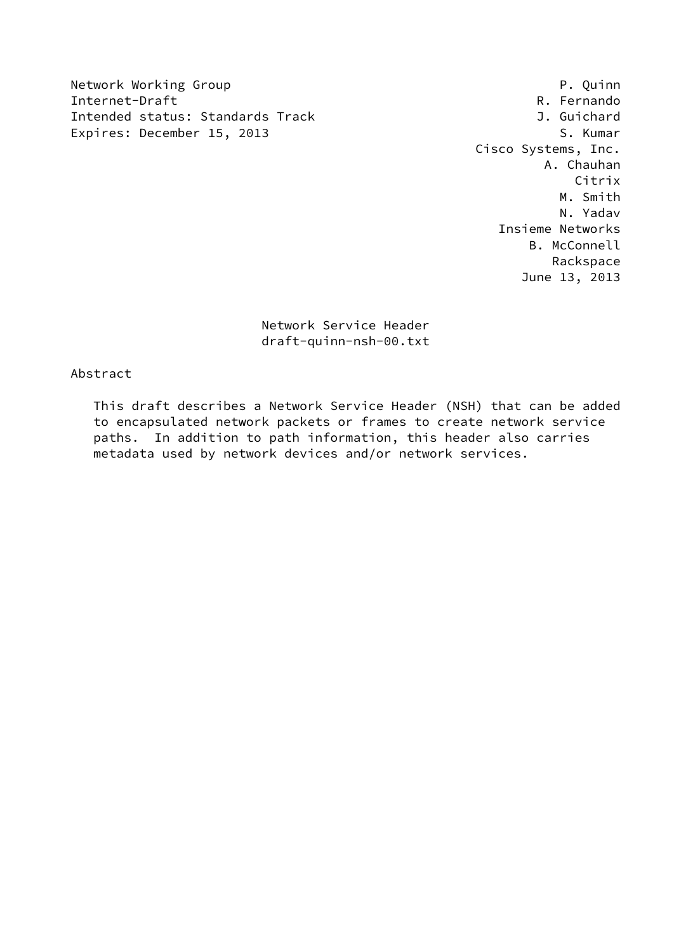Network Working Group **P. Quinn** Internet-Draft **R. Fernando** Intended status: Standards Track J. Guichard Expires: December 15, 2013 S. Kumar

 Cisco Systems, Inc. A. Chauhan Citrix M. Smith N. Yadav Insieme Networks B. McConnell Rackspace June 13, 2013

> Network Service Header draft-quinn-nsh-00.txt

# Abstract

 This draft describes a Network Service Header (NSH) that can be added to encapsulated network packets or frames to create network service paths. In addition to path information, this header also carries metadata used by network devices and/or network services.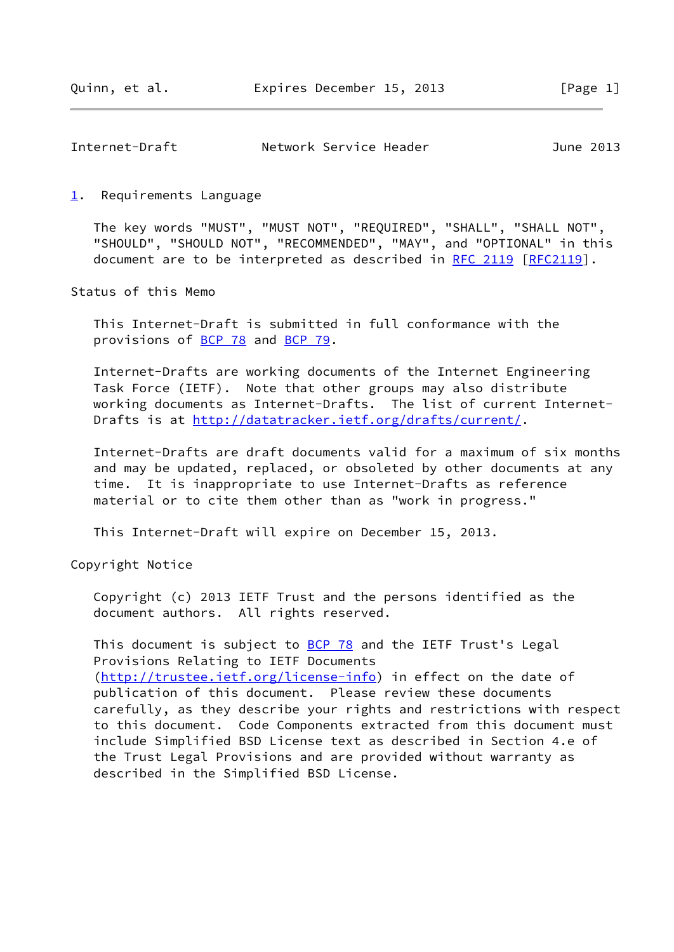<span id="page-1-1"></span>

| Network Service Header<br>Internet-Draft<br>June 2013 |  |
|-------------------------------------------------------|--|
|-------------------------------------------------------|--|

<span id="page-1-0"></span>[1](#page-1-0). Requirements Language

 The key words "MUST", "MUST NOT", "REQUIRED", "SHALL", "SHALL NOT", "SHOULD", "SHOULD NOT", "RECOMMENDED", "MAY", and "OPTIONAL" in this document are to be interpreted as described in [RFC 2119 \[RFC2119](https://datatracker.ietf.org/doc/pdf/rfc2119)].

Status of this Memo

 This Internet-Draft is submitted in full conformance with the provisions of [BCP 78](https://datatracker.ietf.org/doc/pdf/bcp78) and [BCP 79](https://datatracker.ietf.org/doc/pdf/bcp79).

 Internet-Drafts are working documents of the Internet Engineering Task Force (IETF). Note that other groups may also distribute working documents as Internet-Drafts. The list of current Internet Drafts is at<http://datatracker.ietf.org/drafts/current/>.

 Internet-Drafts are draft documents valid for a maximum of six months and may be updated, replaced, or obsoleted by other documents at any time. It is inappropriate to use Internet-Drafts as reference material or to cite them other than as "work in progress."

This Internet-Draft will expire on December 15, 2013.

Copyright Notice

 Copyright (c) 2013 IETF Trust and the persons identified as the document authors. All rights reserved.

This document is subject to **[BCP 78](https://datatracker.ietf.org/doc/pdf/bcp78)** and the IETF Trust's Legal Provisions Relating to IETF Documents [\(http://trustee.ietf.org/license-info](http://trustee.ietf.org/license-info)) in effect on the date of publication of this document. Please review these documents carefully, as they describe your rights and restrictions with respect to this document. Code Components extracted from this document must include Simplified BSD License text as described in Section 4.e of the Trust Legal Provisions and are provided without warranty as described in the Simplified BSD License.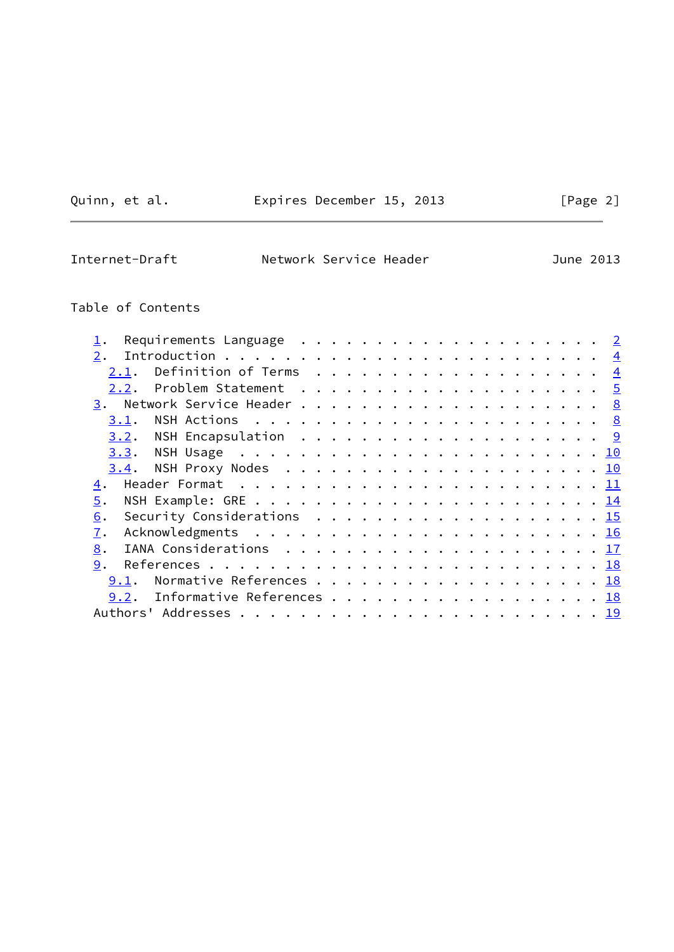Quinn, et al. Expires December 15, 2013 [Page 2]

 $\overline{\phantom{a}}$ 

Internet-Draft Network Service Header June 2013

# Table of Contents

| Requirements Language $\dots \dots \dots \dots \dots \dots \dots \dots$                        |                |
|------------------------------------------------------------------------------------------------|----------------|
| 2.                                                                                             |                |
| 2.1.                                                                                           | $\overline{4}$ |
| Problem Statement $\ldots \ldots \ldots \ldots \ldots \ldots \ldots \frac{5}{2}$<br>2.2.       |                |
|                                                                                                |                |
| 3.1.                                                                                           |                |
|                                                                                                |                |
|                                                                                                |                |
| 3.4.                                                                                           |                |
| 4.                                                                                             |                |
| 5.                                                                                             |                |
| Security Considerations $\ldots \ldots \ldots \ldots \ldots \ldots \ldots \frac{15}{15}$<br>6. |                |
| 7.                                                                                             |                |
| 8.                                                                                             |                |
| 9.                                                                                             |                |
| Normative References 18<br>9.1.                                                                |                |
| Informative References 18<br>9.2.                                                              |                |
|                                                                                                |                |
|                                                                                                |                |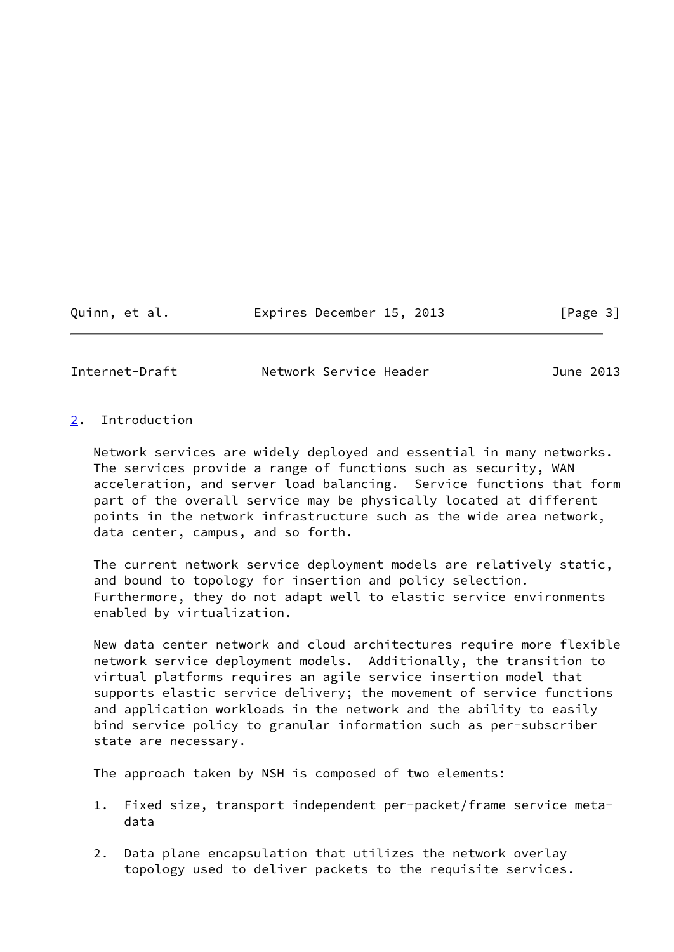Quinn, et al. Expires December 15, 2013 [Page 3]

<span id="page-3-1"></span>Internet-Draft Network Service Header June 2013

### <span id="page-3-0"></span>[2](#page-3-0). Introduction

 Network services are widely deployed and essential in many networks. The services provide a range of functions such as security, WAN acceleration, and server load balancing. Service functions that form part of the overall service may be physically located at different points in the network infrastructure such as the wide area network, data center, campus, and so forth.

 The current network service deployment models are relatively static, and bound to topology for insertion and policy selection. Furthermore, they do not adapt well to elastic service environments enabled by virtualization.

 New data center network and cloud architectures require more flexible network service deployment models. Additionally, the transition to virtual platforms requires an agile service insertion model that supports elastic service delivery; the movement of service functions and application workloads in the network and the ability to easily bind service policy to granular information such as per-subscriber state are necessary.

The approach taken by NSH is composed of two elements:

- 1. Fixed size, transport independent per-packet/frame service meta data
- 2. Data plane encapsulation that utilizes the network overlay topology used to deliver packets to the requisite services.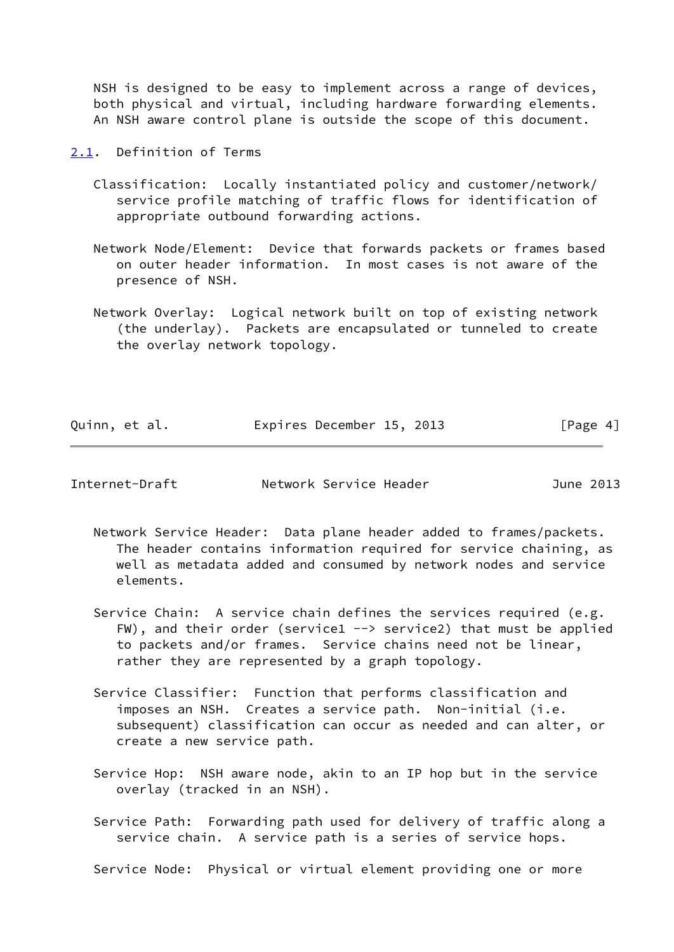NSH is designed to be easy to implement across a range of devices, both physical and virtual, including hardware forwarding elements. An NSH aware control plane is outside the scope of this document.

<span id="page-4-0"></span>[2.1](#page-4-0). Definition of Terms

- Classification: Locally instantiated policy and customer/network/ service profile matching of traffic flows for identification of appropriate outbound forwarding actions.
- Network Node/Element: Device that forwards packets or frames based on outer header information. In most cases is not aware of the presence of NSH.
- Network Overlay: Logical network built on top of existing network (the underlay). Packets are encapsulated or tunneled to create the overlay network topology.

| Quinn, et al. |  | Expires December 15, 2013 |  | [Page 4] |
|---------------|--|---------------------------|--|----------|
|               |  |                           |  |          |

<span id="page-4-1"></span>Internet-Draft Network Service Header June 2013

- Network Service Header: Data plane header added to frames/packets. The header contains information required for service chaining, as well as metadata added and consumed by network nodes and service elements.
- Service Chain: A service chain defines the services required (e.g. FW), and their order (service1  $\rightarrow$  service2) that must be applied to packets and/or frames. Service chains need not be linear, rather they are represented by a graph topology.
- Service Classifier: Function that performs classification and imposes an NSH. Creates a service path. Non-initial (i.e. subsequent) classification can occur as needed and can alter, or create a new service path.
- Service Hop: NSH aware node, akin to an IP hop but in the service overlay (tracked in an NSH).
- Service Path: Forwarding path used for delivery of traffic along a service chain. A service path is a series of service hops.

Service Node: Physical or virtual element providing one or more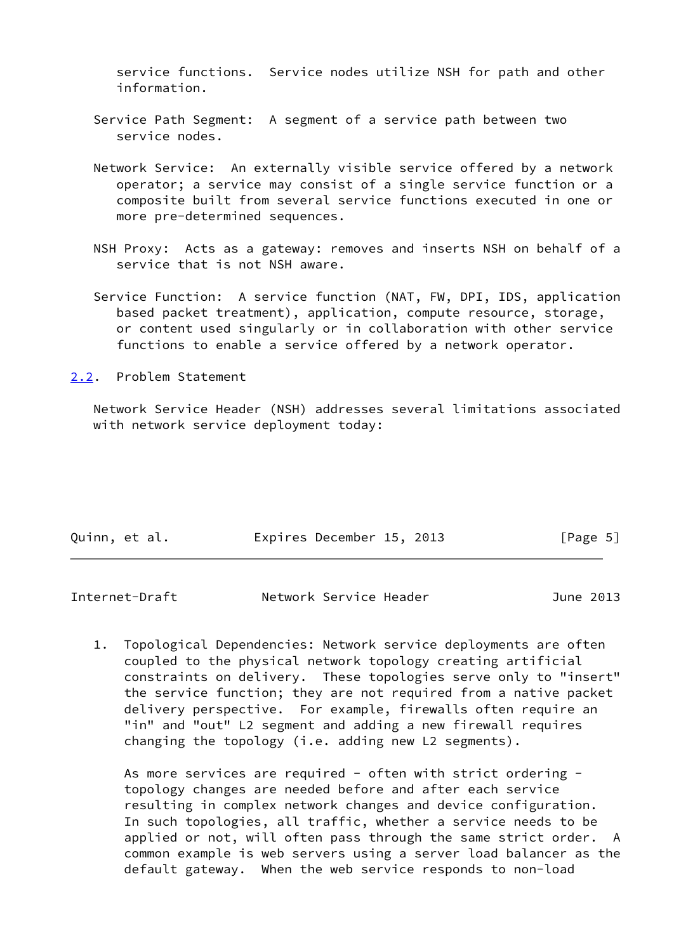service functions. Service nodes utilize NSH for path and other information.

- Service Path Segment: A segment of a service path between two service nodes.
- Network Service: An externally visible service offered by a network operator; a service may consist of a single service function or a composite built from several service functions executed in one or more pre-determined sequences.
- NSH Proxy: Acts as a gateway: removes and inserts NSH on behalf of a service that is not NSH aware.
- Service Function: A service function (NAT, FW, DPI, IDS, application based packet treatment), application, compute resource, storage, or content used singularly or in collaboration with other service functions to enable a service offered by a network operator.

<span id="page-5-0"></span>[2.2](#page-5-0). Problem Statement

 Network Service Header (NSH) addresses several limitations associated with network service deployment today:

|  | Quinn, et al. |  | Expires December 15, 2013 |  |  |  | [Page 5] |  |
|--|---------------|--|---------------------------|--|--|--|----------|--|
|--|---------------|--|---------------------------|--|--|--|----------|--|

| Internet-Draft<br>Network Service Header | June 2013 |
|------------------------------------------|-----------|
|------------------------------------------|-----------|

 1. Topological Dependencies: Network service deployments are often coupled to the physical network topology creating artificial constraints on delivery. These topologies serve only to "insert" the service function; they are not required from a native packet delivery perspective. For example, firewalls often require an "in" and "out" L2 segment and adding a new firewall requires changing the topology (i.e. adding new L2 segments).

As more services are required - often with strict ordering topology changes are needed before and after each service resulting in complex network changes and device configuration. In such topologies, all traffic, whether a service needs to be applied or not, will often pass through the same strict order. A common example is web servers using a server load balancer as the default gateway. When the web service responds to non-load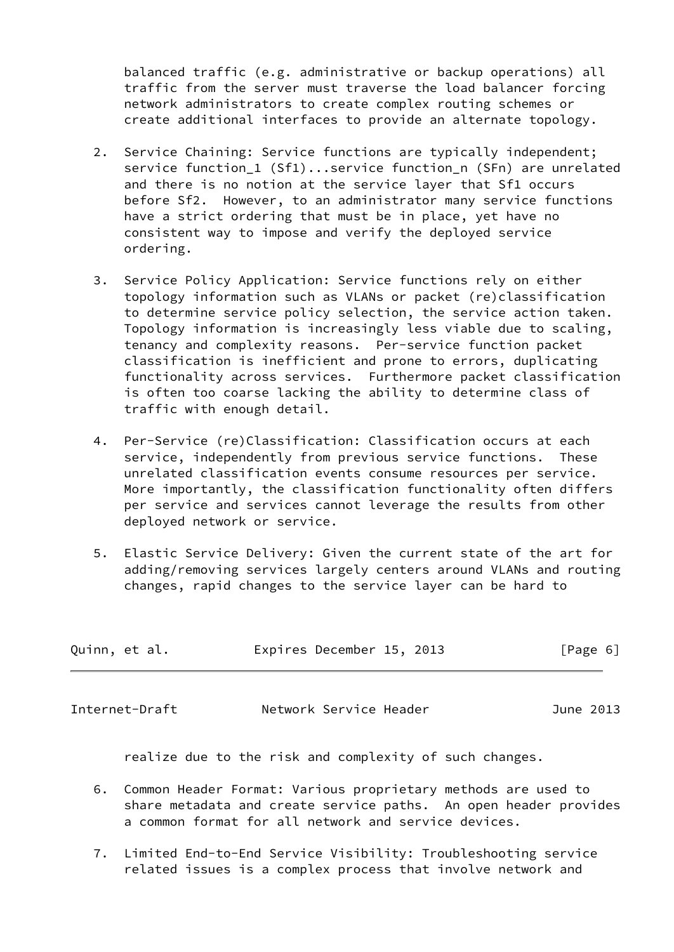balanced traffic (e.g. administrative or backup operations) all traffic from the server must traverse the load balancer forcing network administrators to create complex routing schemes or create additional interfaces to provide an alternate topology.

- 2. Service Chaining: Service functions are typically independent; service function 1 (Sf1)...service function n (SFn) are unrelated and there is no notion at the service layer that Sf1 occurs before Sf2. However, to an administrator many service functions have a strict ordering that must be in place, yet have no consistent way to impose and verify the deployed service ordering.
- 3. Service Policy Application: Service functions rely on either topology information such as VLANs or packet (re)classification to determine service policy selection, the service action taken. Topology information is increasingly less viable due to scaling, tenancy and complexity reasons. Per-service function packet classification is inefficient and prone to errors, duplicating functionality across services. Furthermore packet classification is often too coarse lacking the ability to determine class of traffic with enough detail.
- 4. Per-Service (re)Classification: Classification occurs at each service, independently from previous service functions. These unrelated classification events consume resources per service. More importantly, the classification functionality often differs per service and services cannot leverage the results from other deployed network or service.
- 5. Elastic Service Delivery: Given the current state of the art for adding/removing services largely centers around VLANs and routing changes, rapid changes to the service layer can be hard to

| Quinn, et al. | Expires December 15, 2013 | [Page 6] |
|---------------|---------------------------|----------|
|               |                           |          |

Internet-Draft Network Service Header June 2013

realize due to the risk and complexity of such changes.

- 6. Common Header Format: Various proprietary methods are used to share metadata and create service paths. An open header provides a common format for all network and service devices.
- 7. Limited End-to-End Service Visibility: Troubleshooting service related issues is a complex process that involve network and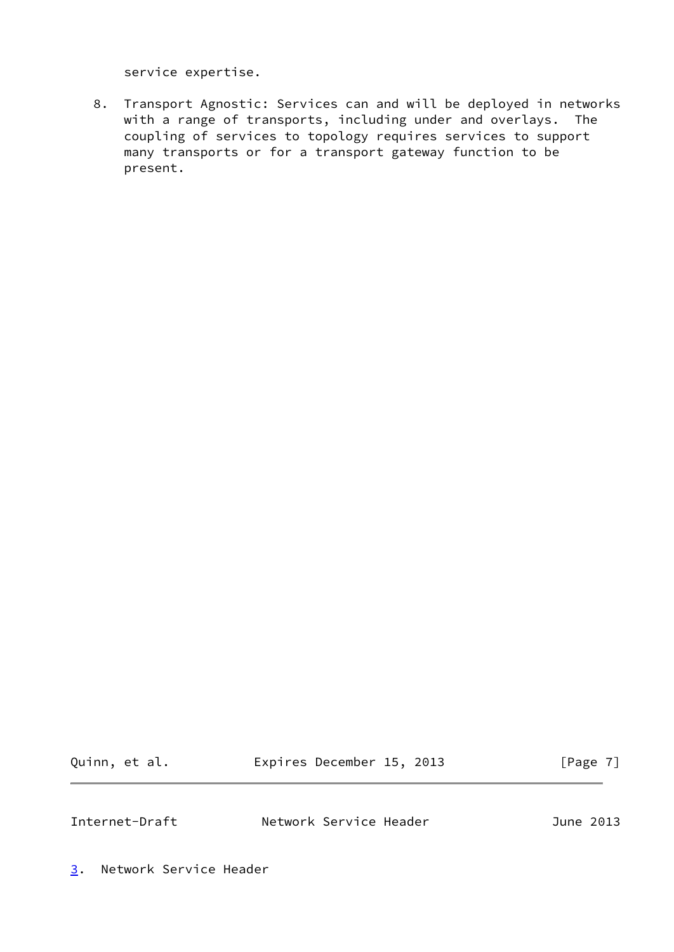service expertise.

 8. Transport Agnostic: Services can and will be deployed in networks with a range of transports, including under and overlays. The coupling of services to topology requires services to support many transports or for a transport gateway function to be present.

Quinn, et al. **Expires December 15, 2013** [Page 7]

<span id="page-7-1"></span>Internet-Draft Network Service Header June 2013

<span id="page-7-0"></span>[3](#page-7-0). Network Service Header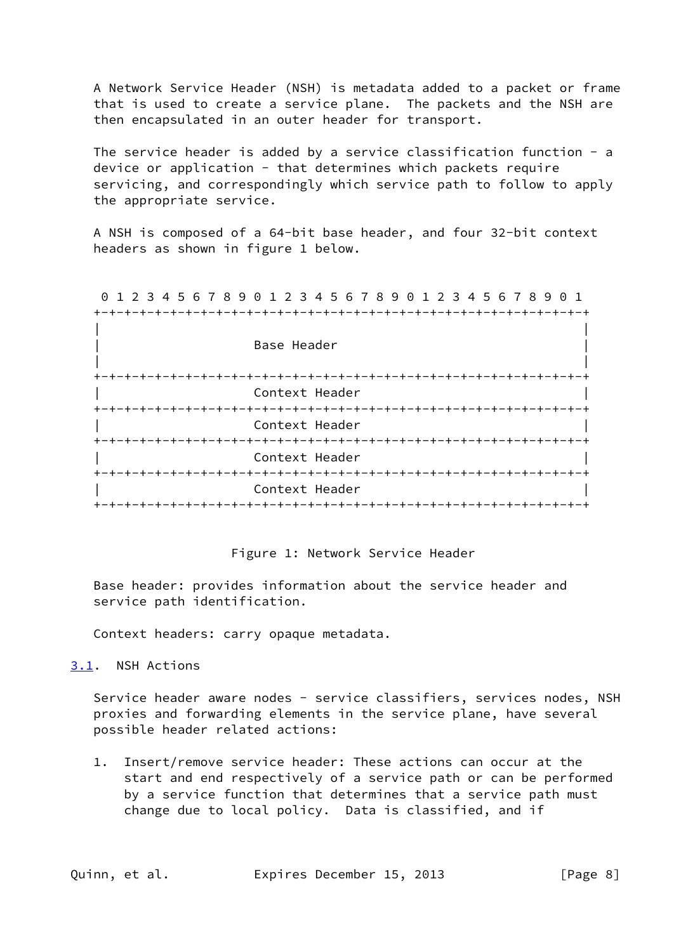A Network Service Header (NSH) is metadata added to a packet or frame that is used to create a service plane. The packets and the NSH are then encapsulated in an outer header for transport.

 The service header is added by a service classification function - a device or application - that determines which packets require servicing, and correspondingly which service path to follow to apply the appropriate service.

 A NSH is composed of a 64-bit base header, and four 32-bit context headers as shown in figure 1 below.

 0 1 2 3 4 5 6 7 8 9 0 1 2 3 4 5 6 7 8 9 0 1 2 3 4 5 6 7 8 9 0 1 +-+-+-+-+-+-+-+-+-+-+-+-+-+-+-+-+-+-+-+-+-+-+-+-+-+-+-+-+-+-+-+-+

| Base Header        |
|--------------------|
|                    |
| Context Header     |
|                    |
| Context Header     |
| Context Header     |
|                    |
| Context Header     |
| -+-+-+-+-+-+-+-+-+ |

#### Figure 1: Network Service Header

 Base header: provides information about the service header and service path identification.

Context headers: carry opaque metadata.

#### <span id="page-8-0"></span>[3.1](#page-8-0). NSH Actions

Service header aware nodes - service classifiers, services nodes, NSH proxies and forwarding elements in the service plane, have several possible header related actions:

 1. Insert/remove service header: These actions can occur at the start and end respectively of a service path or can be performed by a service function that determines that a service path must change due to local policy. Data is classified, and if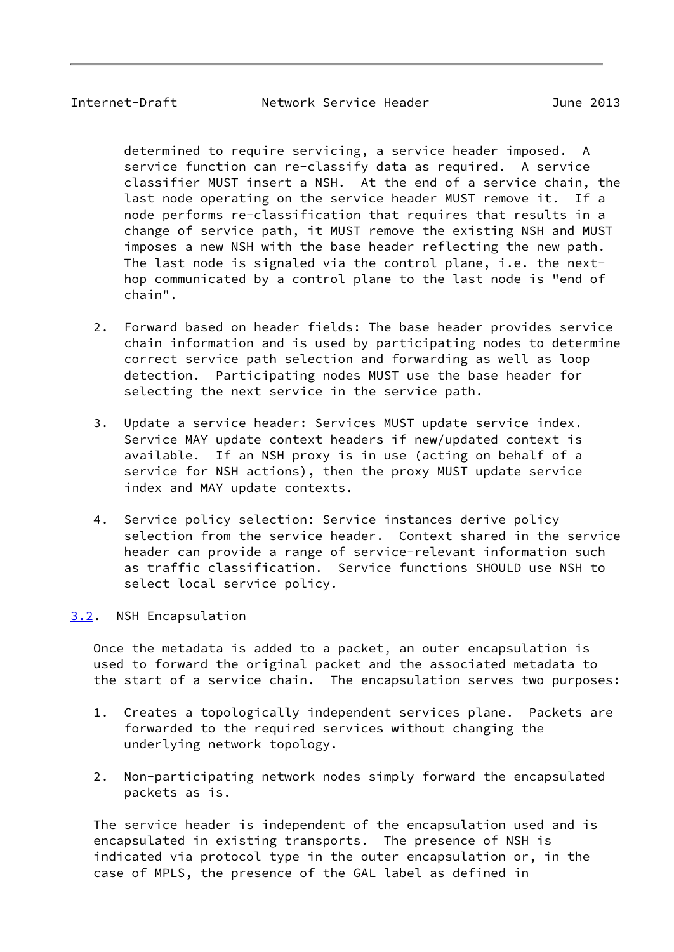<span id="page-9-1"></span>Internet-Draft Network Service Header June 2013

 determined to require servicing, a service header imposed. A service function can re-classify data as required. A service classifier MUST insert a NSH. At the end of a service chain, the last node operating on the service header MUST remove it. If a node performs re-classification that requires that results in a change of service path, it MUST remove the existing NSH and MUST imposes a new NSH with the base header reflecting the new path. The last node is signaled via the control plane, i.e. the next hop communicated by a control plane to the last node is "end of chain".

- 2. Forward based on header fields: The base header provides service chain information and is used by participating nodes to determine correct service path selection and forwarding as well as loop detection. Participating nodes MUST use the base header for selecting the next service in the service path.
- 3. Update a service header: Services MUST update service index. Service MAY update context headers if new/updated context is available. If an NSH proxy is in use (acting on behalf of a service for NSH actions), then the proxy MUST update service index and MAY update contexts.
- 4. Service policy selection: Service instances derive policy selection from the service header. Context shared in the service header can provide a range of service-relevant information such as traffic classification. Service functions SHOULD use NSH to select local service policy.

## <span id="page-9-0"></span>[3.2](#page-9-0). NSH Encapsulation

 Once the metadata is added to a packet, an outer encapsulation is used to forward the original packet and the associated metadata to the start of a service chain. The encapsulation serves two purposes:

- 1. Creates a topologically independent services plane. Packets are forwarded to the required services without changing the underlying network topology.
- 2. Non-participating network nodes simply forward the encapsulated packets as is.

 The service header is independent of the encapsulation used and is encapsulated in existing transports. The presence of NSH is indicated via protocol type in the outer encapsulation or, in the case of MPLS, the presence of the GAL label as defined in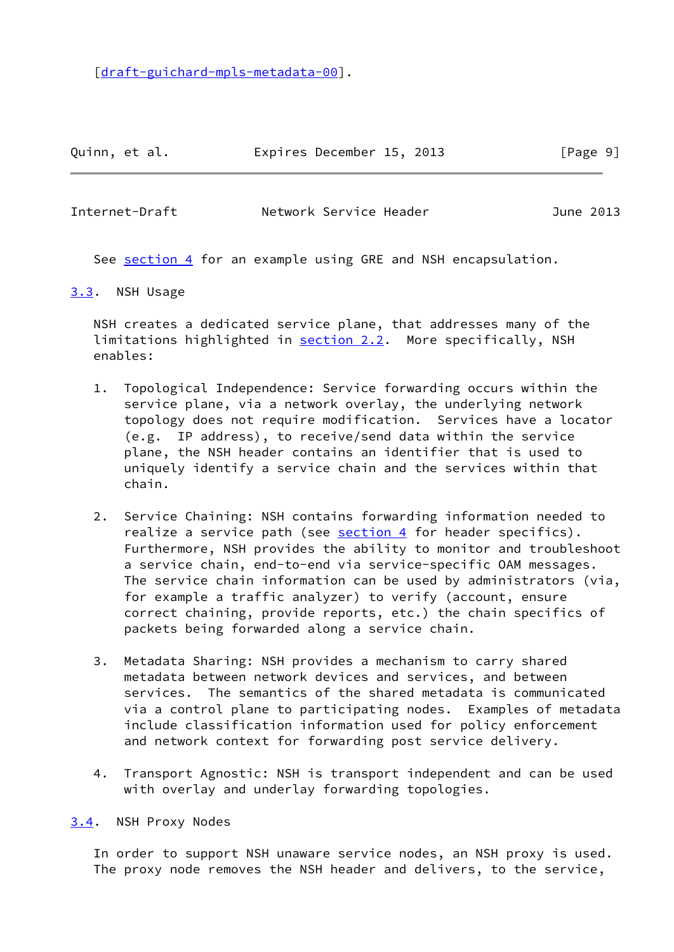[\[draft-guichard-mpls-metadata-00](https://datatracker.ietf.org/doc/pdf/draft-guichard-mpls-metadata-00)].

Quinn, et al. **Expires December 15, 2013** [Page 9]

<span id="page-10-1"></span>Internet-Draft Network Service Header June 2013

See [section 4](#page-11-0) for an example using GRE and NSH encapsulation.

### <span id="page-10-0"></span>[3.3](#page-10-0). NSH Usage

 NSH creates a dedicated service plane, that addresses many of the limitations highlighted in [section 2.2](#page-5-0). More specifically, NSH enables:

- 1. Topological Independence: Service forwarding occurs within the service plane, via a network overlay, the underlying network topology does not require modification. Services have a locator (e.g. IP address), to receive/send data within the service plane, the NSH header contains an identifier that is used to uniquely identify a service chain and the services within that chain.
- 2. Service Chaining: NSH contains forwarding information needed to realize a service path (see [section 4](#page-11-0) for header specifics). Furthermore, NSH provides the ability to monitor and troubleshoot a service chain, end-to-end via service-specific OAM messages. The service chain information can be used by administrators (via, for example a traffic analyzer) to verify (account, ensure correct chaining, provide reports, etc.) the chain specifics of packets being forwarded along a service chain.
- 3. Metadata Sharing: NSH provides a mechanism to carry shared metadata between network devices and services, and between services. The semantics of the shared metadata is communicated via a control plane to participating nodes. Examples of metadata include classification information used for policy enforcement and network context for forwarding post service delivery.
- 4. Transport Agnostic: NSH is transport independent and can be used with overlay and underlay forwarding topologies.

<span id="page-10-2"></span>[3.4](#page-10-2). NSH Proxy Nodes

 In order to support NSH unaware service nodes, an NSH proxy is used. The proxy node removes the NSH header and delivers, to the service,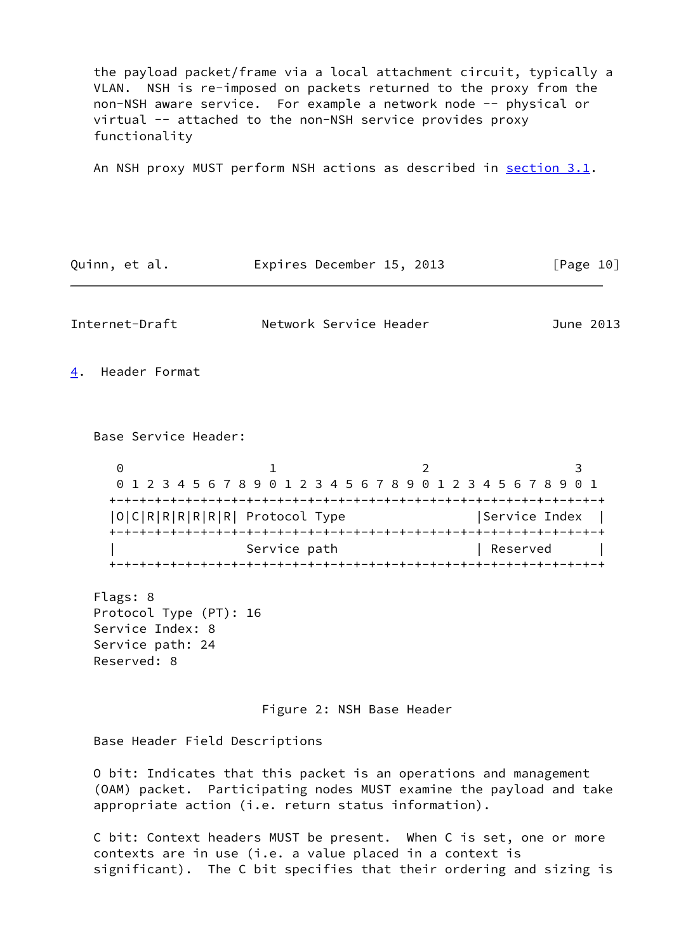the payload packet/frame via a local attachment circuit, typically a VLAN. NSH is re-imposed on packets returned to the proxy from the non-NSH aware service. For example a network node -- physical or virtual -- attached to the non-NSH service provides proxy functionality

An NSH proxy MUST perform NSH actions as described in [section 3.1](#page-8-0).

<span id="page-11-1"></span><span id="page-11-0"></span>

| Quinn, et al.                                                                             | Expires December 15, 2013                                            |   | [Page 10]     |
|-------------------------------------------------------------------------------------------|----------------------------------------------------------------------|---|---------------|
| Internet-Draft                                                                            | Network Service Header                                               |   | June 2013     |
| Header Format<br><u>4</u> .                                                               |                                                                      |   |               |
| Base Service Header:                                                                      |                                                                      |   |               |
| 0                                                                                         | 1<br>0 1 2 3 4 5 6 7 8 9 0 1 2 3 4 5 6 7 8 9 0 1 2 3 4 5 6 7 8 9 0 1 | 2 | 3             |
| O C R R R R R R  Protocol Type                                                            |                                                                      |   | Service Index |
|                                                                                           | Service path                                                         |   | Reserved      |
| Flags: 8<br>Protocol Type (PT): 16<br>Service Index: 8<br>Service path: 24<br>Reserved: 8 |                                                                      |   |               |

Figure 2: NSH Base Header

Base Header Field Descriptions

 O bit: Indicates that this packet is an operations and management (OAM) packet. Participating nodes MUST examine the payload and take appropriate action (i.e. return status information).

 C bit: Context headers MUST be present. When C is set, one or more contexts are in use (i.e. a value placed in a context is significant). The C bit specifies that their ordering and sizing is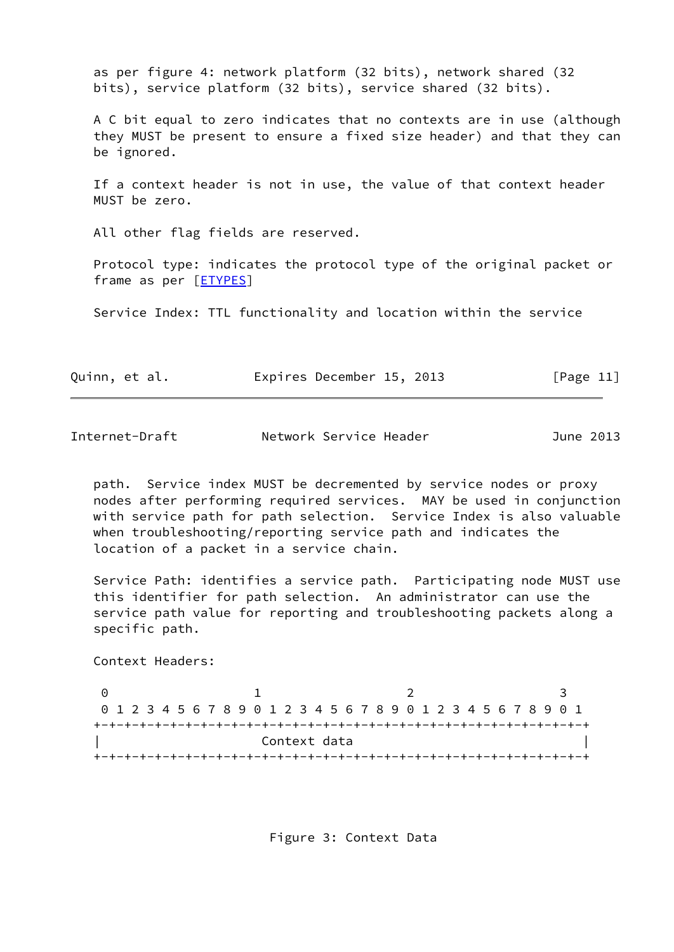as per figure 4: network platform (32 bits), network shared (32 bits), service platform (32 bits), service shared (32 bits).

 A C bit equal to zero indicates that no contexts are in use (although they MUST be present to ensure a fixed size header) and that they can be ignored.

 If a context header is not in use, the value of that context header MUST be zero.

All other flag fields are reserved.

 Protocol type: indicates the protocol type of the original packet or frame as per [**ETYPES**]

Service Index: TTL functionality and location within the service

|  | Quinn, et al. |  | Expires December 15, 2013 |  |  | [Page 11] |  |  |
|--|---------------|--|---------------------------|--|--|-----------|--|--|
|--|---------------|--|---------------------------|--|--|-----------|--|--|

Internet-Draft Network Service Header June 2013

 path. Service index MUST be decremented by service nodes or proxy nodes after performing required services. MAY be used in conjunction with service path for path selection. Service Index is also valuable when troubleshooting/reporting service path and indicates the location of a packet in a service chain.

 Service Path: identifies a service path. Participating node MUST use this identifier for path selection. An administrator can use the service path value for reporting and troubleshooting packets along a specific path.

Context Headers:

0 1 2 3 0 1 2 3 4 5 6 7 8 9 0 1 2 3 4 5 6 7 8 9 0 1 2 3 4 5 6 7 8 9 0 1 +-+-+-+-+-+-+-+-+-+-+-+-+-+-+-+-+-+-+-+-+-+-+-+-+-+-+-+-+-+-+-+-+ Context data +-+-+-+-+-+-+-+-+-+-+-+-+-+-+-+-+-+-+-+-+-+-+-+-+-+-+-+-+-+-+-+-+

Figure 3: Context Data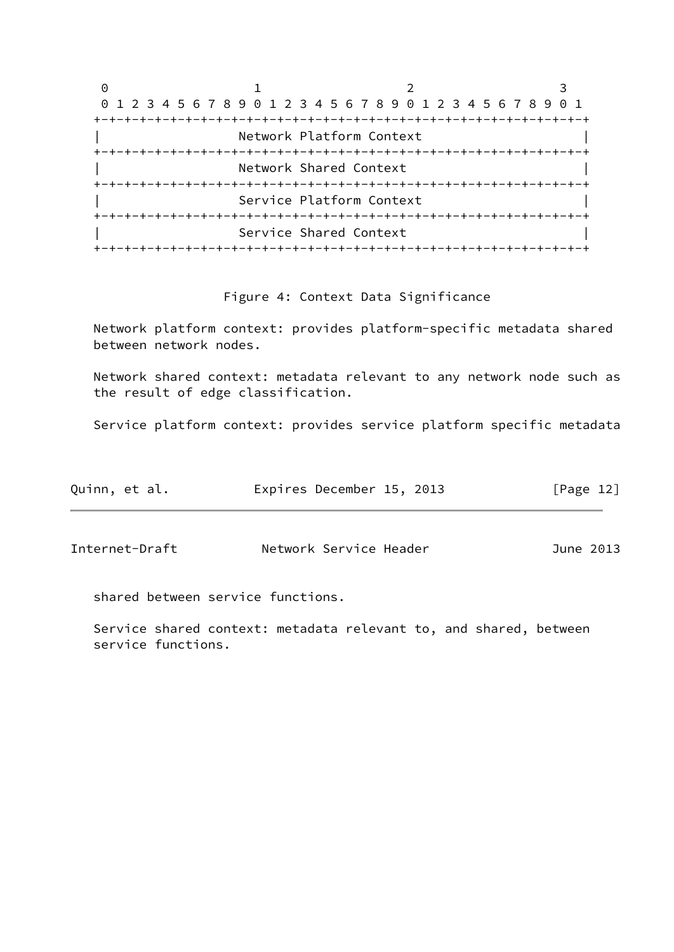| Θ |                                                                 |  |  |
|---|-----------------------------------------------------------------|--|--|
|   | 0 1 2 3 4 5 6 7 8 9 0 1 2 3 4 5 6 7 8 9 0 1 2 3 4 5 6 7 8 9 0 1 |  |  |
|   |                                                                 |  |  |
|   | Network Platform Context                                        |  |  |
|   |                                                                 |  |  |
|   | Network Shared Context                                          |  |  |
|   |                                                                 |  |  |
|   | Service Platform Context                                        |  |  |
|   |                                                                 |  |  |
|   | Service Shared Context                                          |  |  |
|   | -+-+-+-+-+-+-+-+-+-+-+-+-+-+-+-+-+-                             |  |  |

### Figure 4: Context Data Significance

 Network platform context: provides platform-specific metadata shared between network nodes.

 Network shared context: metadata relevant to any network node such as the result of edge classification.

Service platform context: provides service platform specific metadata

| Quinn, et al.  | Expires December 15, 2013 | $\lceil \text{Page 12} \rceil$ |
|----------------|---------------------------|--------------------------------|
|                |                           |                                |
| Internet-Draft | Network Service Header    | June 2013                      |

shared between service functions.

 Service shared context: metadata relevant to, and shared, between service functions.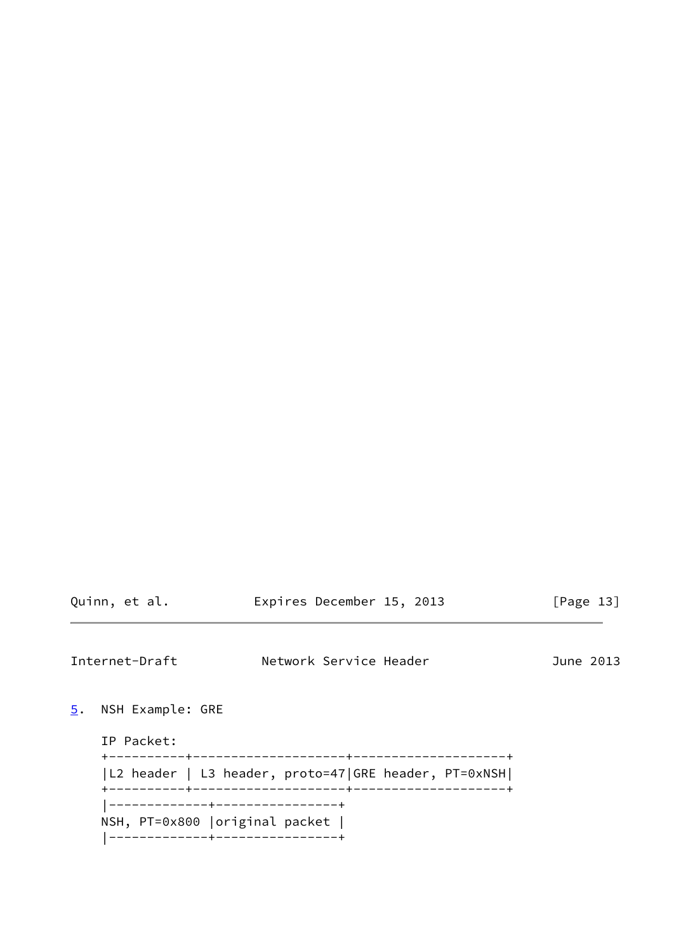<span id="page-14-1"></span><span id="page-14-0"></span>Internet-Draft Network Service Header June 2013 [5](#page-14-0). NSH Example: GRE IP Packet: +----------+--------------------+--------------------+ |L2 header | L3 header, proto=47|GRE header, PT=0xNSH| +----------+--------------------+--------------------+ |-------------+----------------+ NSH, PT=0x800 |original packet | |-------------+----------------+

Quinn, et al. **Expires December 15, 2013** [Page 13]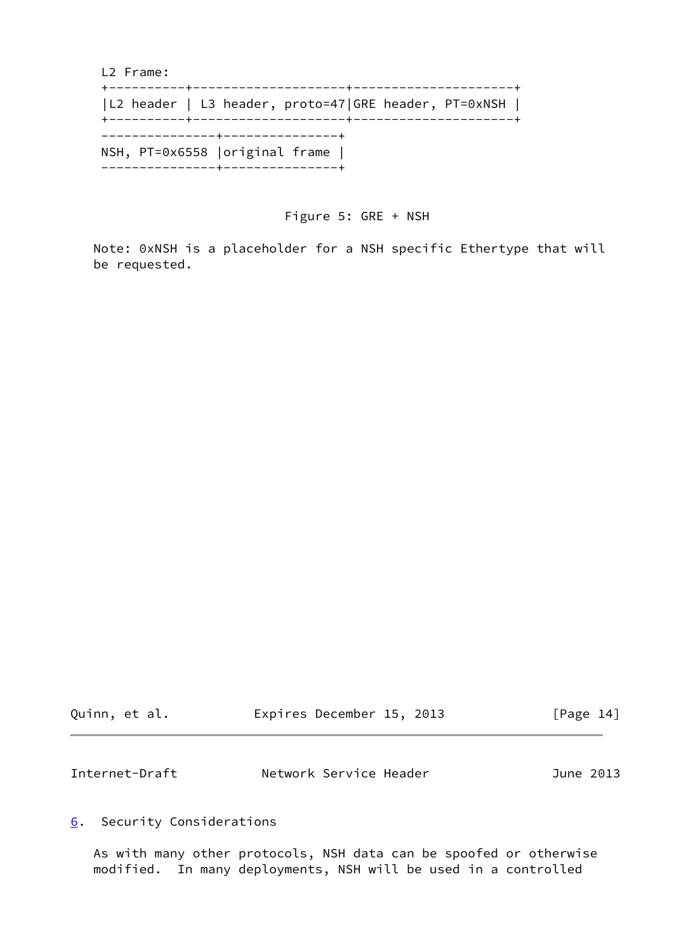L2 Frame: +----------+--------------------+---------------------+ |L2 header | L3 header, proto=47|GRE header, PT=0xNSH | +----------+--------------------+---------------------+ ---------------+---------------+ NSH, PT=0x6558 |original frame | ---------------+---------------+

Figure 5: GRE + NSH

 Note: 0xNSH is a placeholder for a NSH specific Ethertype that will be requested.

| Quinn, et al. | Expires December 15, 2013 | [Page 14] |
|---------------|---------------------------|-----------|
|               |                           |           |
|               |                           |           |

<span id="page-15-1"></span>Internet-Draft Network Service Header June 2013

### <span id="page-15-0"></span>[6](#page-15-0). Security Considerations

 As with many other protocols, NSH data can be spoofed or otherwise modified. In many deployments, NSH will be used in a controlled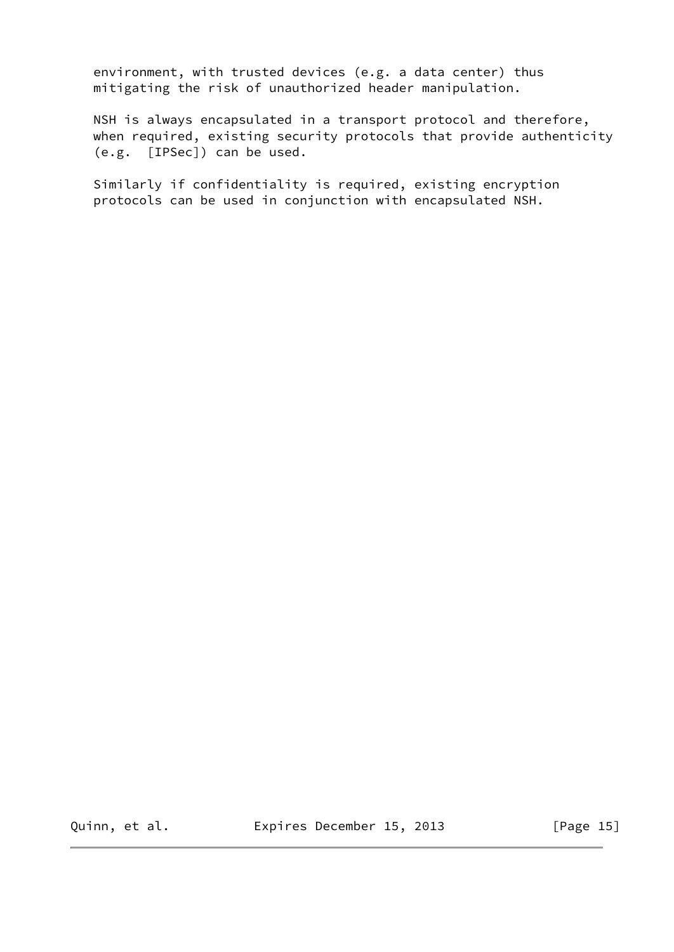environment, with trusted devices (e.g. a data center) thus mitigating the risk of unauthorized header manipulation.

 NSH is always encapsulated in a transport protocol and therefore, when required, existing security protocols that provide authenticity (e.g. [IPSec]) can be used.

 Similarly if confidentiality is required, existing encryption protocols can be used in conjunction with encapsulated NSH.

Quinn, et al. **Expires December 15, 2013** [Page 15]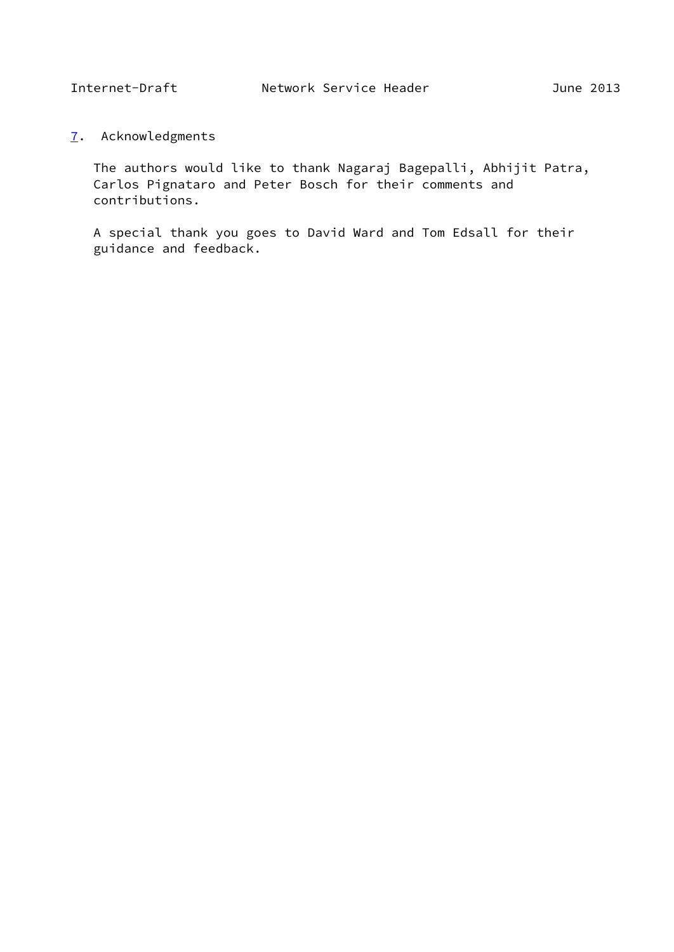<span id="page-17-1"></span><span id="page-17-0"></span>[7](#page-17-0). Acknowledgments

 The authors would like to thank Nagaraj Bagepalli, Abhijit Patra, Carlos Pignataro and Peter Bosch for their comments and contributions.

 A special thank you goes to David Ward and Tom Edsall for their guidance and feedback.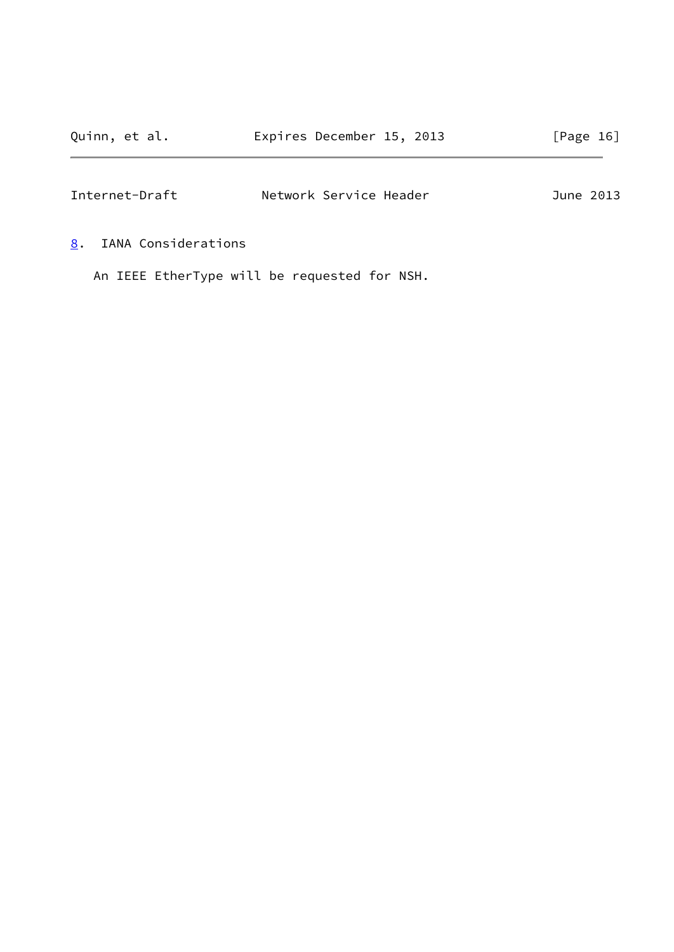<span id="page-18-1"></span>

| Internet-Draft | Network Service Header | June 2013 |
|----------------|------------------------|-----------|
|                |                        |           |

<span id="page-18-0"></span>[8](#page-18-0). IANA Considerations

An IEEE EtherType will be requested for NSH.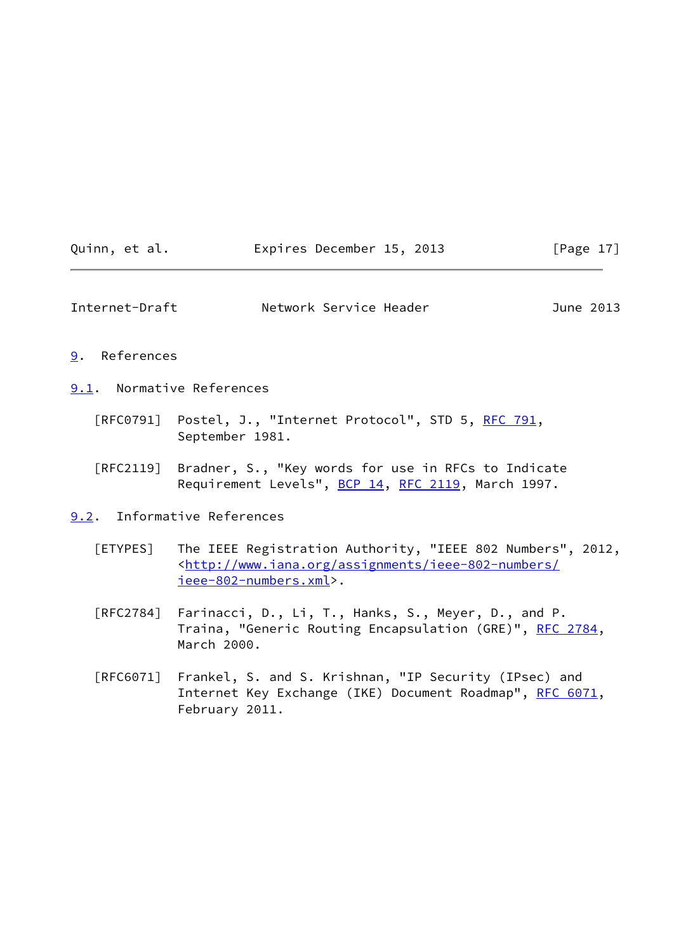| Quinn, et al. | Expires December 15, 2013 | [Page $17$ ] |
|---------------|---------------------------|--------------|
|---------------|---------------------------|--------------|

<span id="page-19-1"></span>Internet-Draft Network Service Header June 2013

### <span id="page-19-0"></span>[9](#page-19-0). References

<span id="page-19-2"></span>[9.1](#page-19-2). Normative References

- [RFC0791] Postel, J., "Internet Protocol", STD 5, [RFC 791](https://datatracker.ietf.org/doc/pdf/rfc791), September 1981.
- [RFC2119] Bradner, S., "Key words for use in RFCs to Indicate Requirement Levels", [BCP 14](https://datatracker.ietf.org/doc/pdf/bcp14), [RFC 2119](https://datatracker.ietf.org/doc/pdf/rfc2119), March 1997.
- <span id="page-19-4"></span><span id="page-19-3"></span>[9.2](#page-19-3). Informative References
	- [ETYPES] The IEEE Registration Authority, "IEEE 802 Numbers", 2012, <[http://www.iana.org/assignments/ieee-802-numbers/](http://www.iana.org/assignments/ieee-802-numbers/ieee-802-numbers.xml) [ieee-802-numbers.xml>](http://www.iana.org/assignments/ieee-802-numbers/ieee-802-numbers.xml).
	- [RFC2784] Farinacci, D., Li, T., Hanks, S., Meyer, D., and P. Traina, "Generic Routing Encapsulation (GRE)", [RFC 2784](https://datatracker.ietf.org/doc/pdf/rfc2784), March 2000.
	- [RFC6071] Frankel, S. and S. Krishnan, "IP Security (IPsec) and Internet Key Exchange (IKE) Document Roadmap", [RFC 6071](https://datatracker.ietf.org/doc/pdf/rfc6071), February 2011.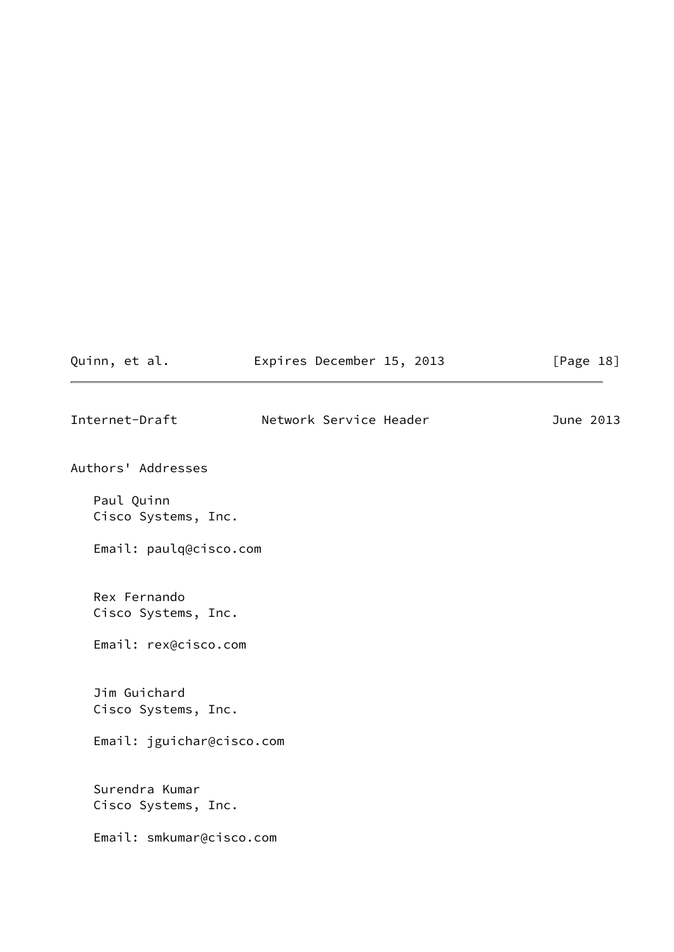<span id="page-20-0"></span>

| Quinn, et al.                         | Expires December 15, 2013 | [Page 18] |
|---------------------------------------|---------------------------|-----------|
| Internet-Draft                        | Network Service Header    | June 2013 |
| Authors' Addresses                    |                           |           |
| Paul Quinn<br>Cisco Systems, Inc.     |                           |           |
| Email: paulq@cisco.com                |                           |           |
| Rex Fernando<br>Cisco Systems, Inc.   |                           |           |
| Email: rex@cisco.com                  |                           |           |
| Jim Guichard<br>Cisco Systems, Inc.   |                           |           |
| Email: jguichar@cisco.com             |                           |           |
| Surendra Kumar<br>Cisco Systems, Inc. |                           |           |
| Email: smkumar@cisco.com              |                           |           |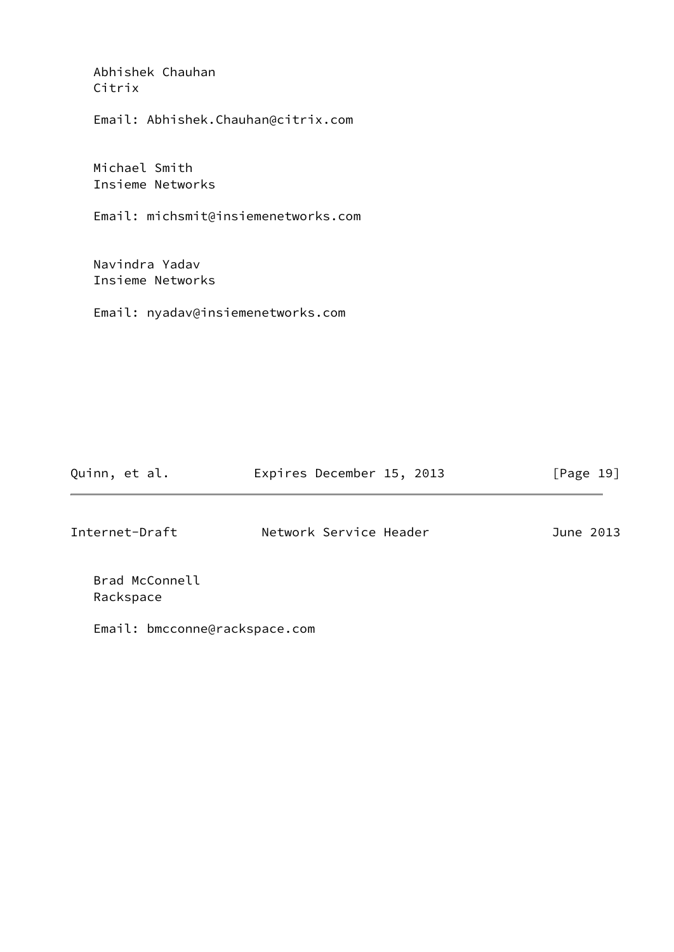| Abhishek Chauhan<br>Citrix          |
|-------------------------------------|
| Email: Abhishek.Chauhan@citrix.com  |
| Michael Smith<br>Insieme Networks   |
| Email: michsmit@insiemenetworks.com |
| Navindra Yadav                      |
| Insieme Networks                    |
| Email: nyadav@insiemenetworks.com   |
|                                     |
|                                     |
|                                     |

| Quinn, et al.                 | Expires December 15, 2013 | [Page 19] |
|-------------------------------|---------------------------|-----------|
| Internet-Draft                | Network Service Header    | June 2013 |
| Brad McConnell<br>Rackspace   |                           |           |
| Email: bmcconne@rackspace.com |                           |           |